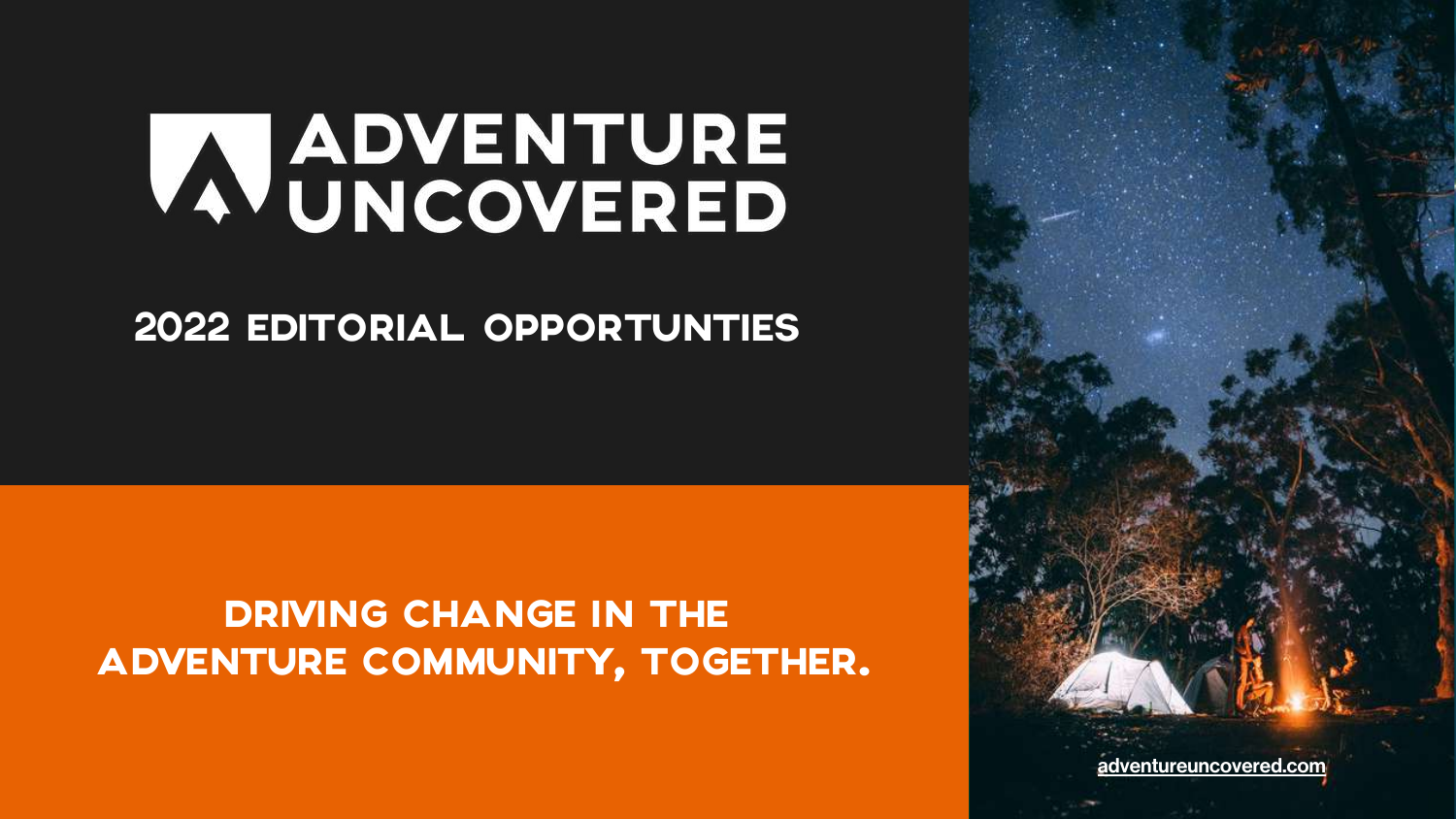[adventureuncovered.com](https://adventureuncovered.com/)

# **ADVENTURE**

## 2022 EDITORIAL OPPORTUNTIES

## DRIVING CHANGE IN THE ADVENTURE COMMUNITY, TOGETHER.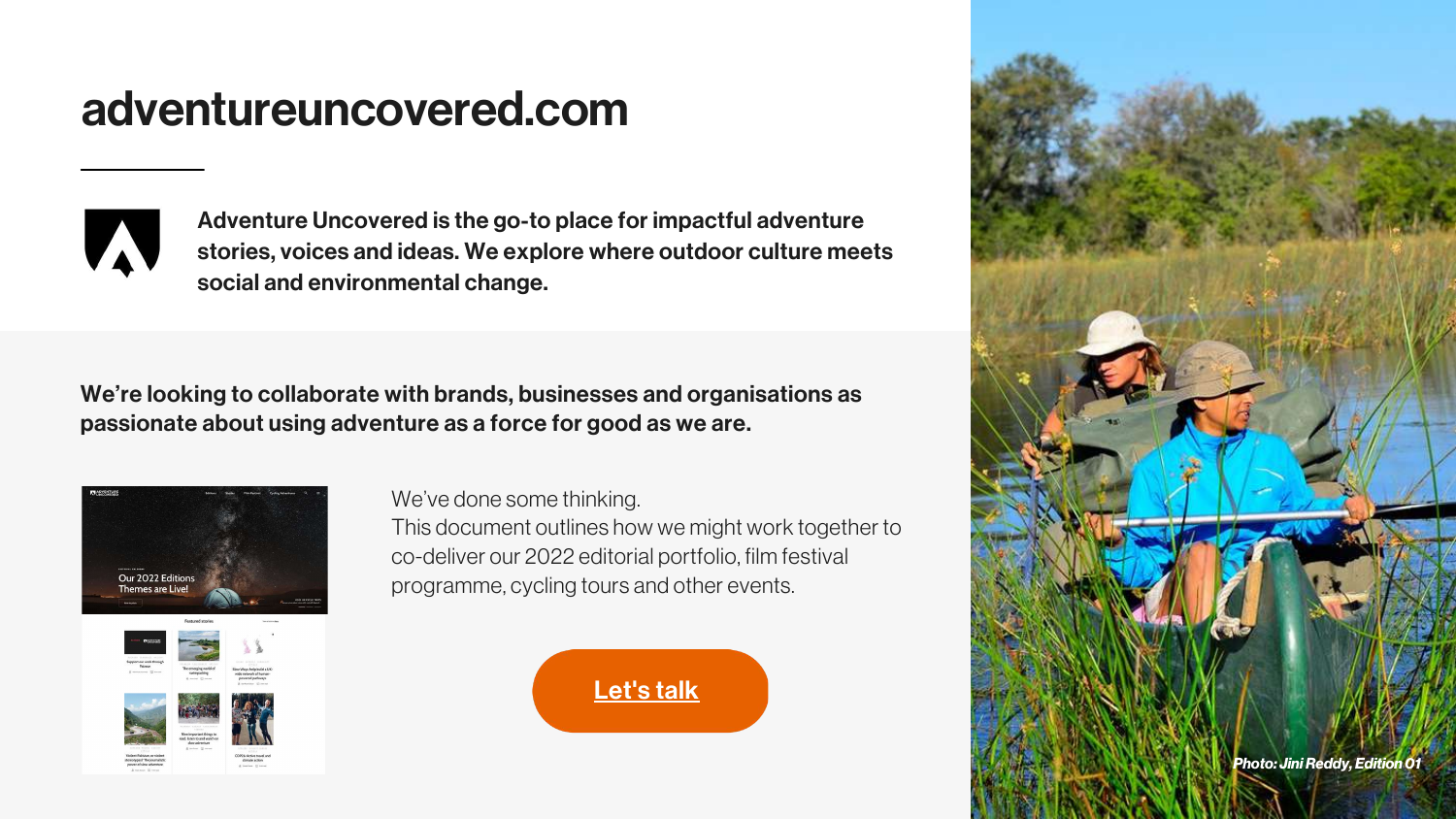## adventureuncovered.com



Adventure Uncovered is the go-to place for impactful adventure stories, voices and ideas. We explore where outdoor culture meets social and environmental change.

> *Photo: JiniReddy, Edition01 Photo: JiniReddy, Edition01*

### We're looking to collaborate with brands, businesses and organisations as passionate about using adventure as a force for good as we are.



We've done some thinking.



This document outlines how we might work together to co-deliver our 2022 editorial portfolio, film festival programme, cycling tours and other events.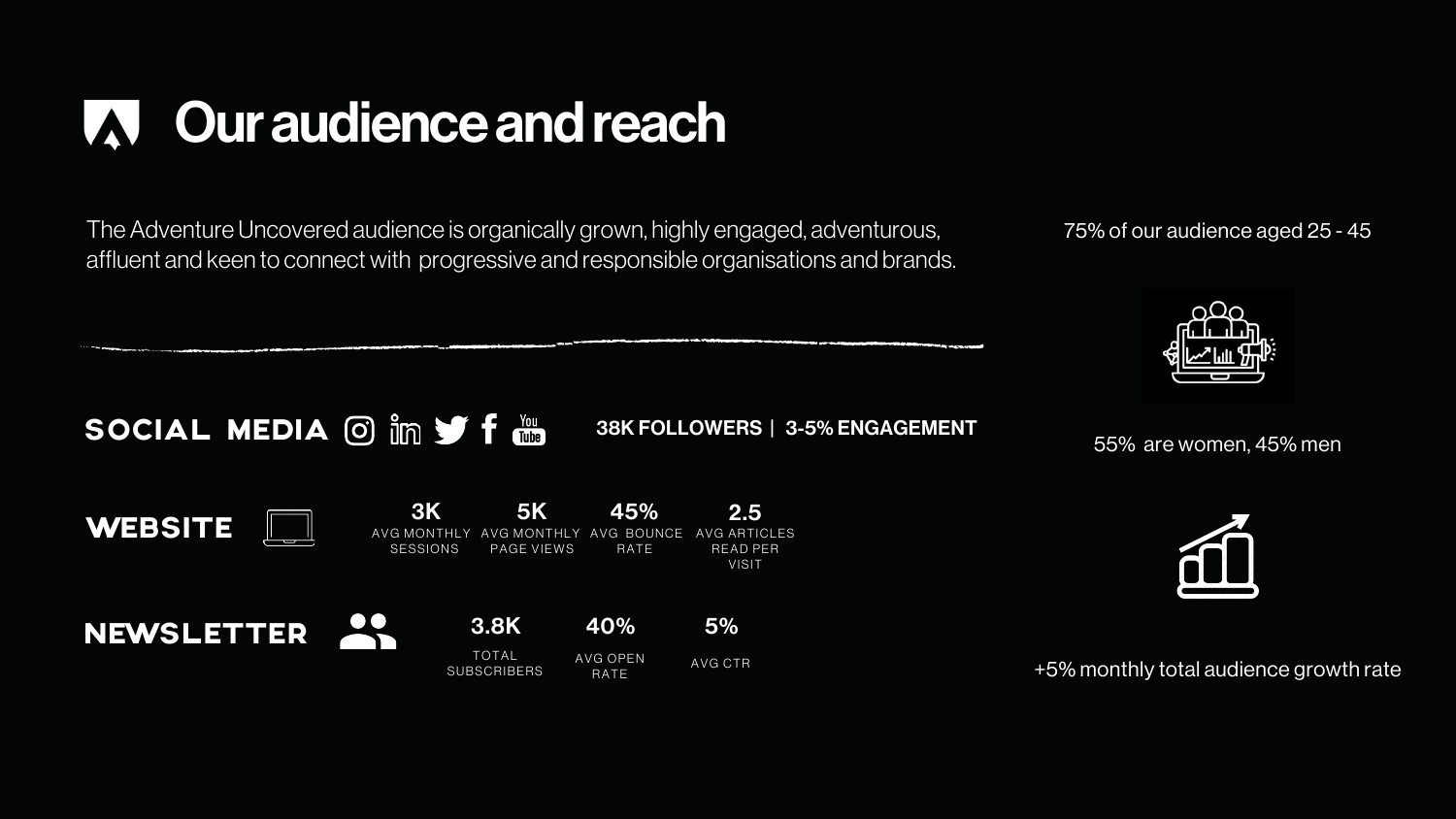

## Ouraudienceandreach W

The Adventure Uncovered audience is organically grown, highly engaged, adventurous, affluent and keen to connect with progressive and responsible organisations and brands.



75% of our audience aged 25 - 45



+5% monthly total audience growth rate

55% are women, 45% men

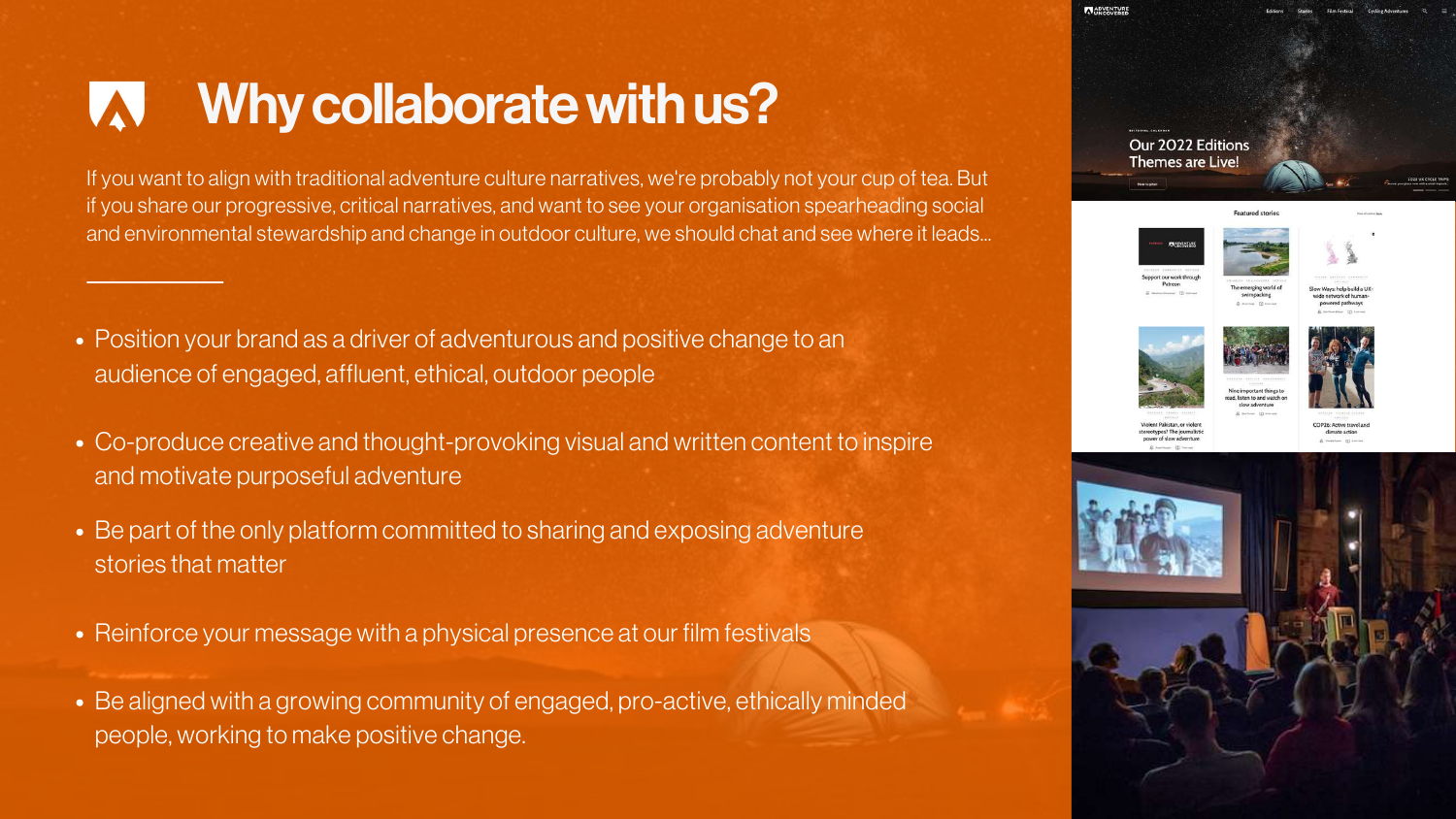- Position your brand as a driver of adventurous and positive change to an audience of engaged, affluent, ethical, outdoor people
- Co-produce creative and thought-provoking visual and written content to inspire and motivate purposeful adventure
- Be part of the only platform committed to sharing and exposing adventure stories that matter
- Reinforce your message with a physical presence at our film festivals
- Be aligned with a growing community of engaged, pro-active, ethically minded people, working to make positive change.



Our 2022 Editions Themes are Live











## Why collaborate with us?

If you want to align with traditional adventure culture narratives, we're probably not your cup of tea. But if you share our progressive, critical narratives, and want to see your organisation spearheading social and environmental stewardship and change in outdoor culture, we should chat and see where it leads...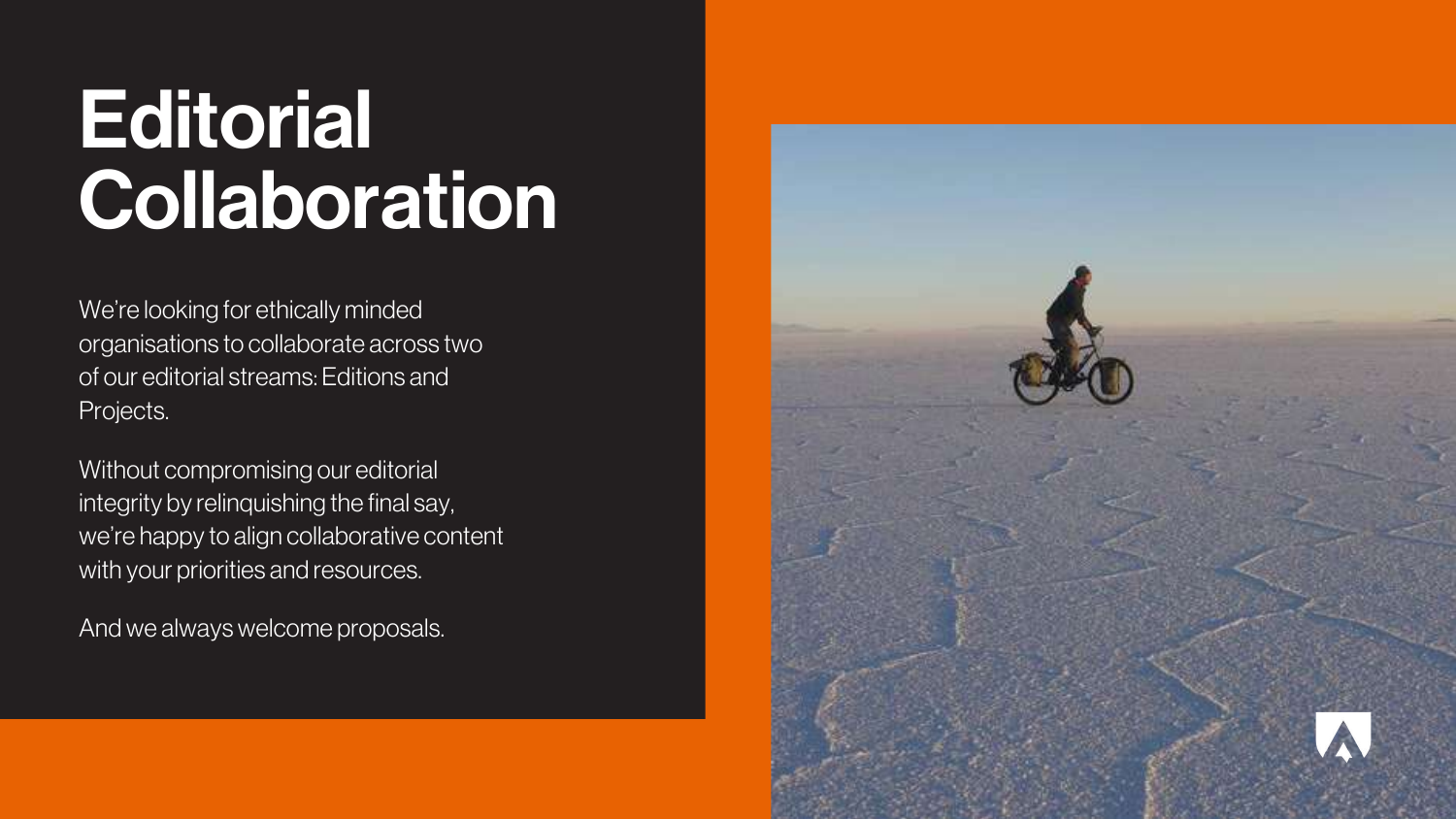## **Editorial Collaboration**

We're looking for ethically minded organisations to collaborate across two of our editorial streams: Editions and Projects.

Without compromising our editorial integrity by relinquishing the final say, we're happy to align collaborative content with your priorities and resources.

And we always welcome proposals.

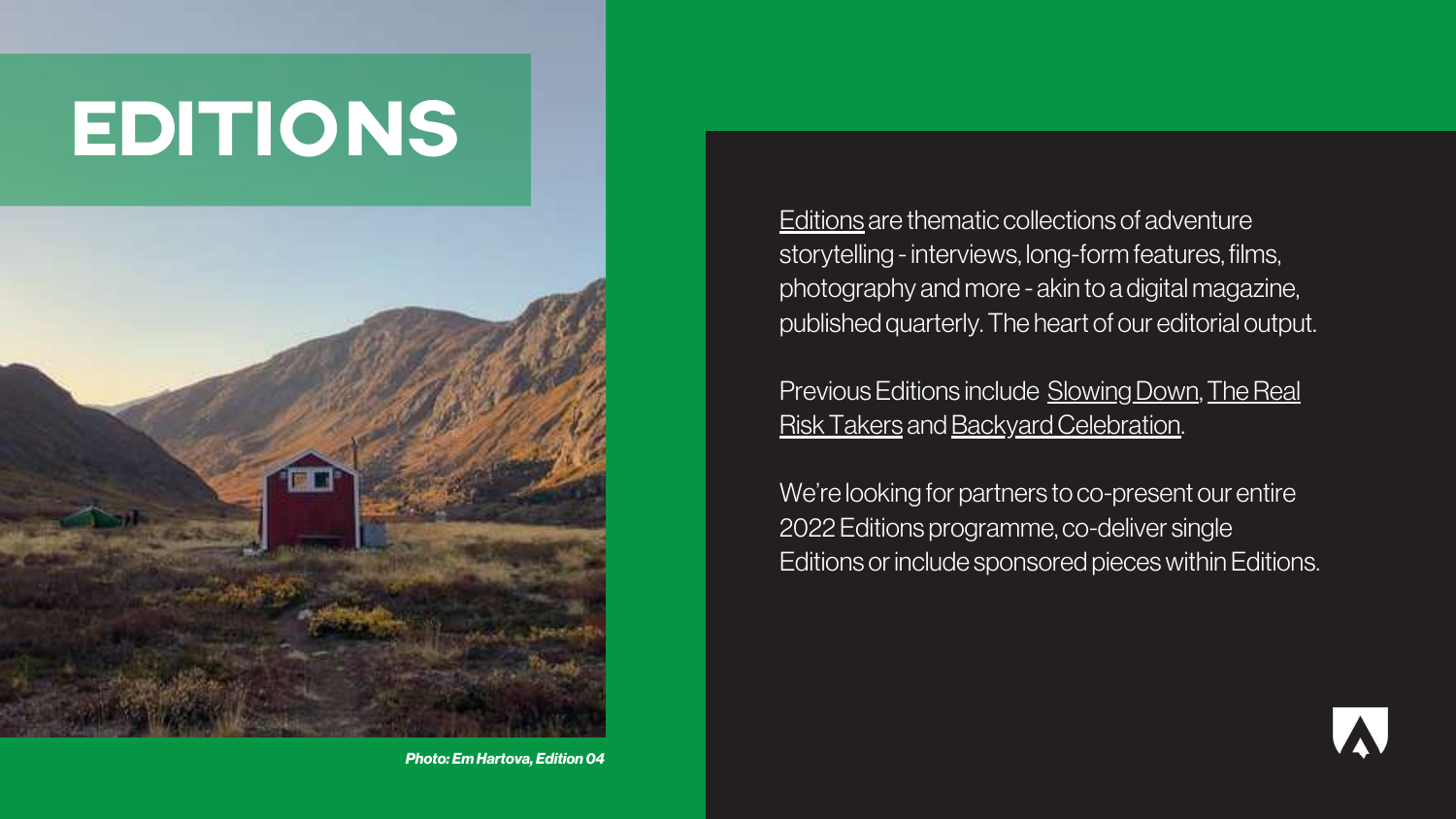[Editions](https://adventureuncovered.com/editions/) are thematic collections of adventure storytelling - interviews, long-form features, films, photography andmore - akin to a digitalmagazine, published quarterly. The heart of our editorial output.

Previous Editions include Slowing Down, The Real Risk Takers and Backyard Celebration.

We're looking for partners to co-present our entire 2022 Editions programme, co-deliver single Editions or include sponsored pieces within Editions.



## EDITIONS



*Photo: Em Hartova, Edition04*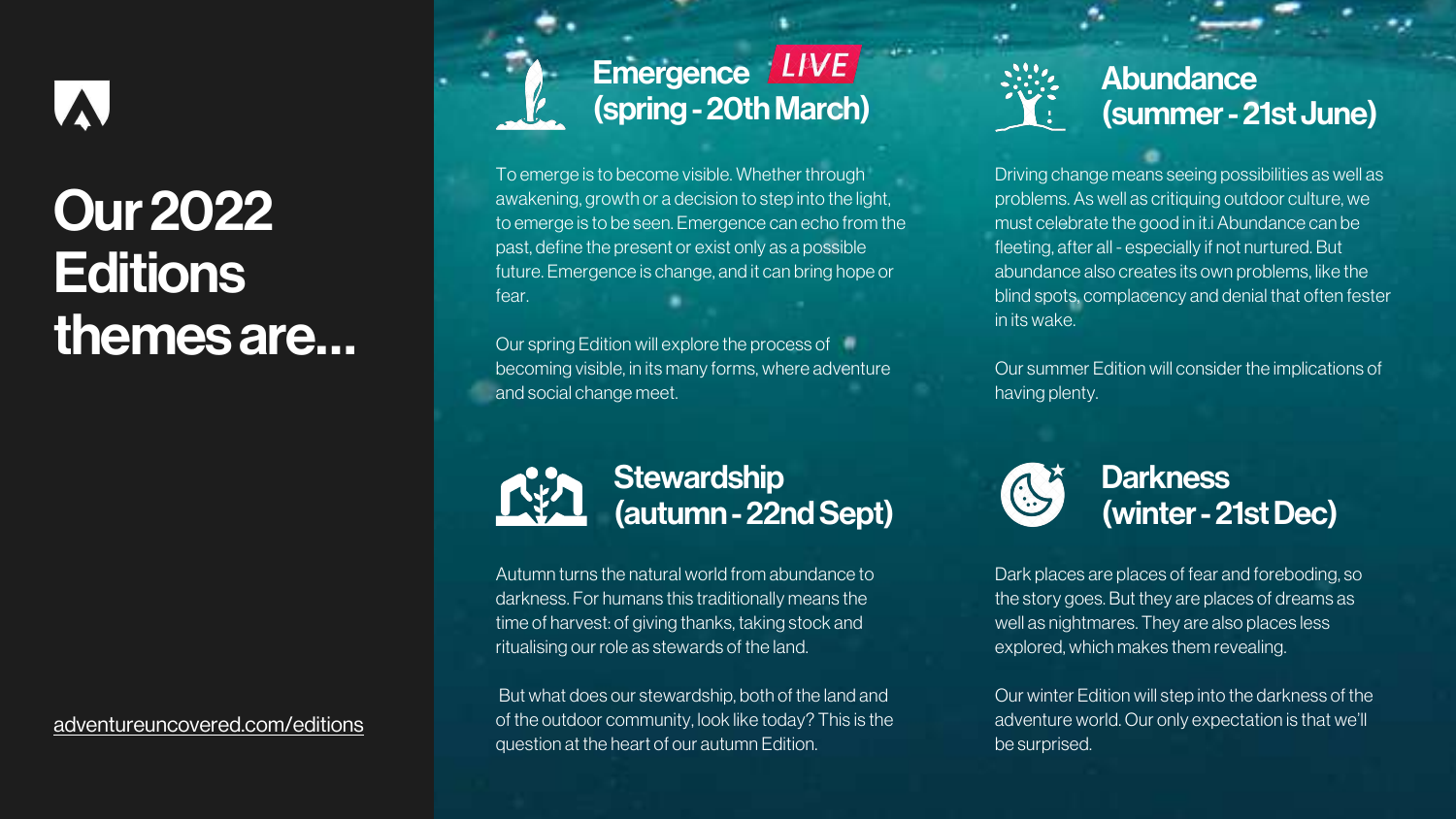To emerge is to become visible. Whether through awakening, growth or a decision to step into the light, to emerge is to be seen. Emergence can echo from the past, define the present or exist only as a possible future. Emergence is change, and it can bring hope or fear.

Our spring Edition will explore the process of becoming visible, in its many forms, where adventure and social change meet.

## **Stewardship** (autumn-22ndSept)



## **Our 2022 Editions** themesare…

## Emergence LIVE (spring-20thMarch)

Autumn turns the natural world from abundance to darkness. For humans this traditionally means the time of harvest: of giving thanks, taking stock and ritualising our role as stewards of the land.

But what does our stewardship, both of the land and of the outdoor community, look like today? This is the question at the heart of our autumn Edition.

## Abundance (summer-21st June)

### [adventureuncovered.com/editions](https://adventureuncovered.com/editions)

Driving change means seeing possibilities as well as problems. As well as critiquing outdoor culture, we must celebrate the good in it.i Abundance can be fleeting, after all - especially if not nurtured. But abundance also creates its own problems, like the blind spots, complacency and denial that often fester in its wake.

Our summer Edition will consider the implications of having plenty.

Dark places are places of fear and foreboding, so the story goes. But they are places of dreams as well as nightmares. They are also places less explored, which makes them revealing.

Our winter Edition will step into the darkness of the adventure world. Our only expectation is that we'll be surprised.

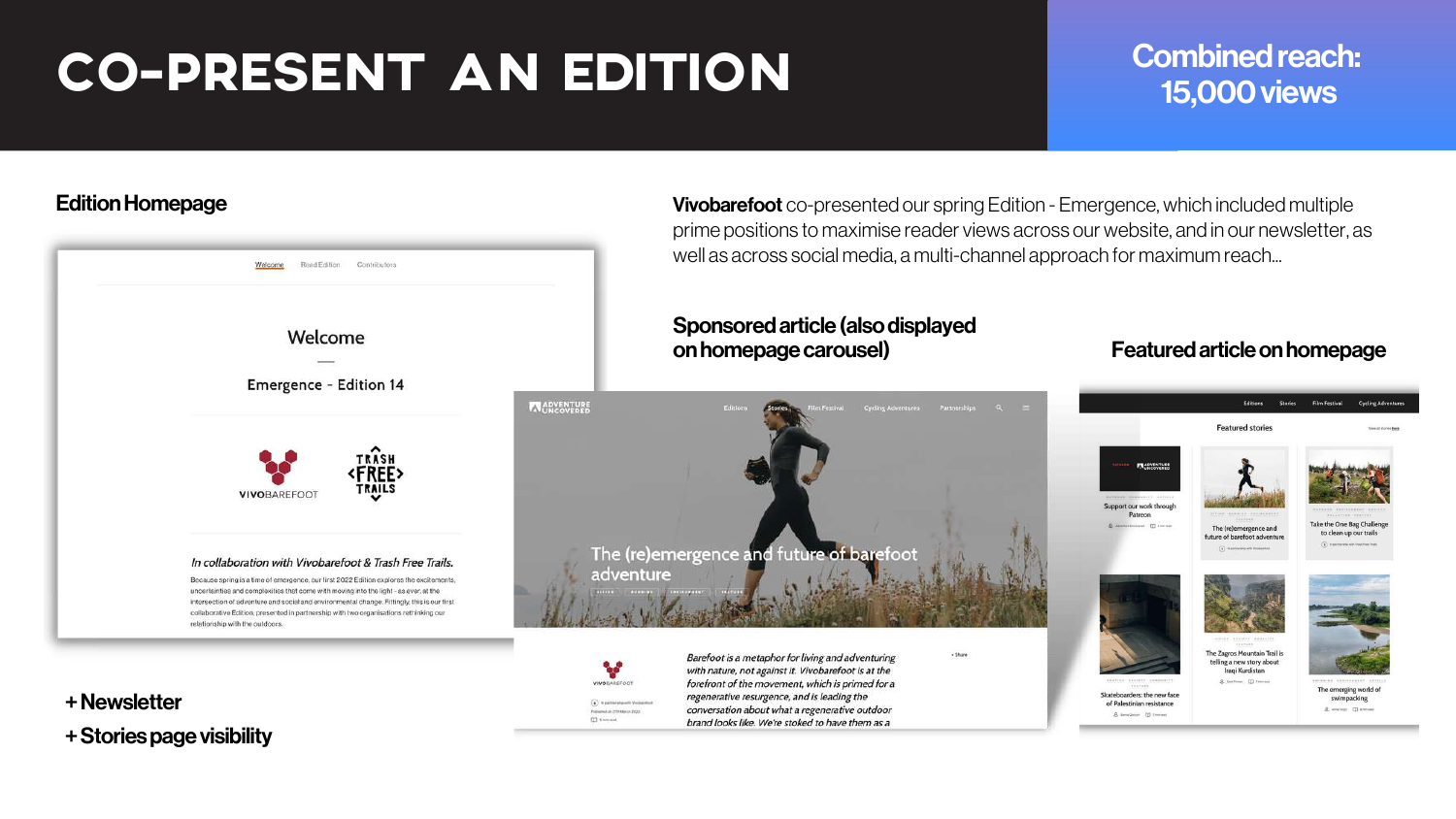**Vivobarefoot** co-presented our spring Edition - Emergence, which included multiple prime positions to maximise reader views across our website, and in our newsletter, as well as across social media, a multi-channel approach for maximum reach...

## Sponsored article (also displayed



### onhomepagecarousel) Featuredarticleonhomepage



+ Stories page visibility



## **Combined reach: 15,000 views**

## CO-PRESENT AN EDITION

### **Edition Homepage**

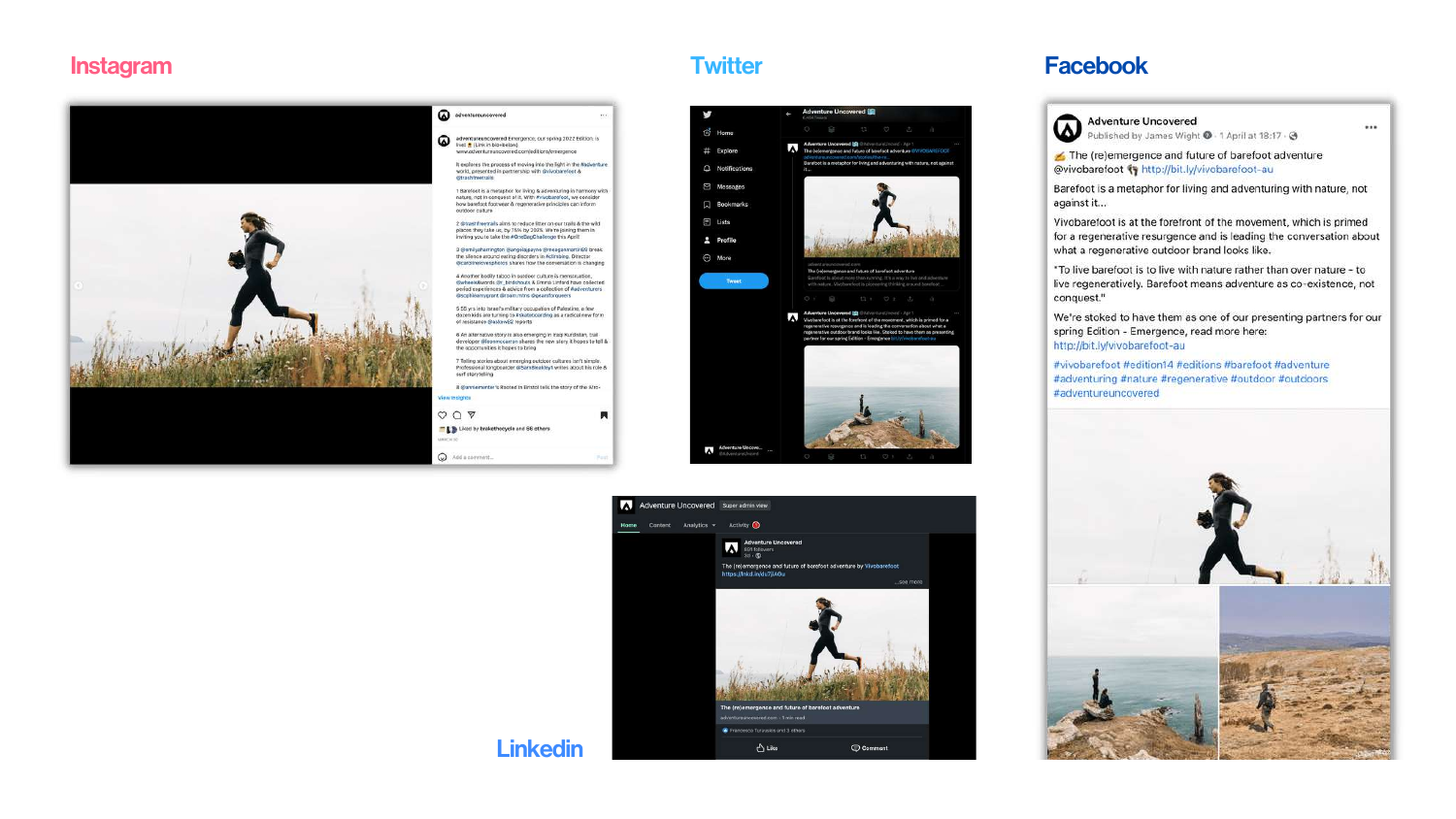### Linkedin

### Twitter **Facebook**



ered **in** 

ed Mill C



Adventure Uncovered<br>Published by James Wight @ - 1 April at 18:17 - @

### Instagram

The (re)emergence and future of barefoot adventure @vivobarefoot <a>
fy http://bit.ly/vivobarefoot-au

Barefoot is a metaphor for living and adventuring with nature, not against it...



...



Vivobarefoot is at the forefront of the movement, which is primed for a regenerative resurgence and is leading the conversation about what a regenerative outdoor brand looks like.

"To live barefoot is to live with nature rather than over nature - to live regeneratively. Barefoot means adventure as co-existence, not conquest."

We're stoked to have them as one of our presenting partners for our spring Edition - Emergence, read more here: http://bit.ly/vivobarefoot-au

#vivobarefoot #edition14 #editions #barefoot #adventure #adventuring #nature #regenerative #outdoor #outdoors #adventureuncovered

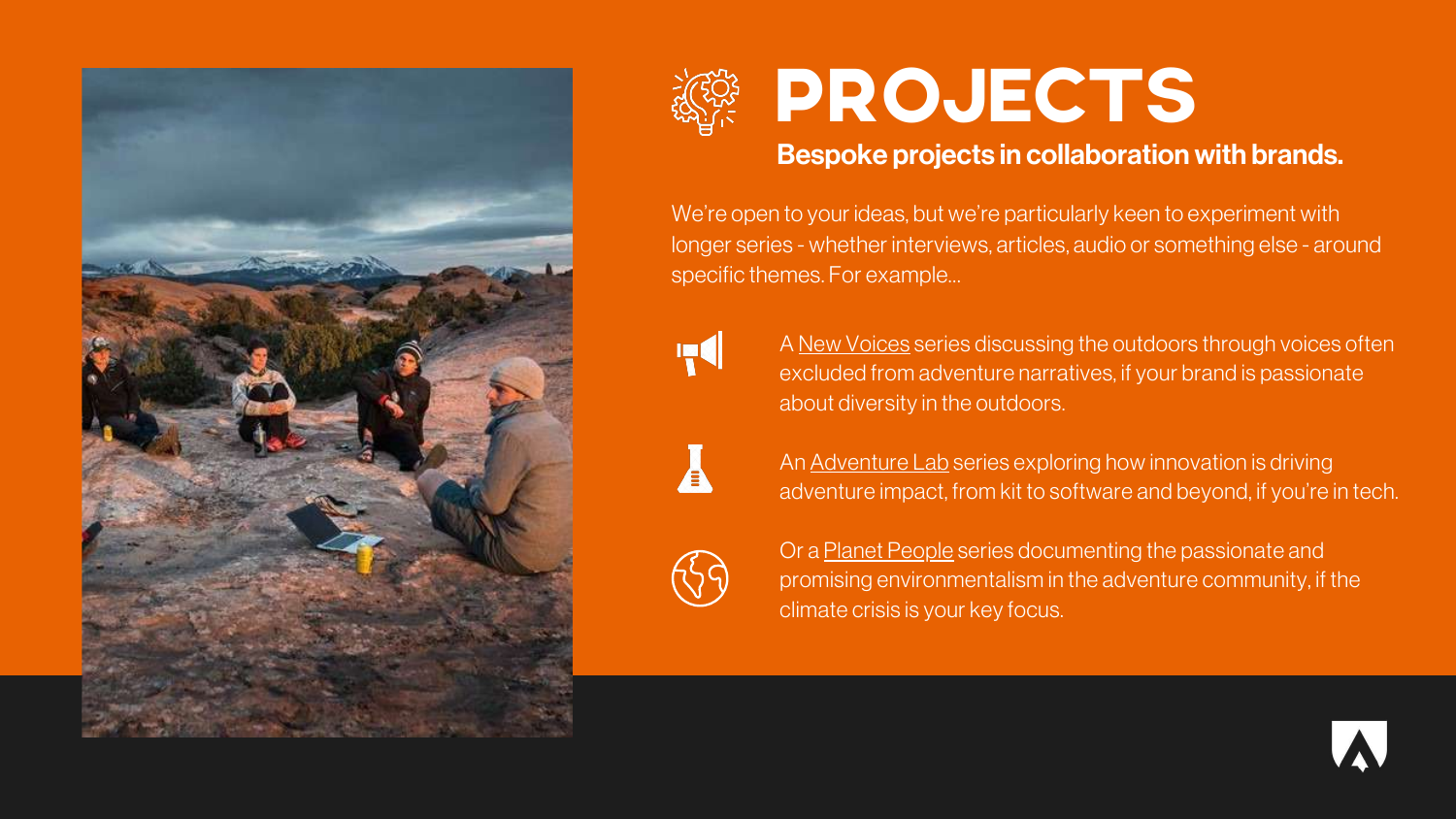



We're open to your ideas, but we're particularly keen to experiment with longer series - whether interviews, articles, audio or something else - around specific themes. For example…



A New Voices series discussing the outdoors through voices often excluded from adventure narratives, if your brand is passionate about diversity in the outdoors.



## PROJECTS

Or a **Planet People** series documenting the passionate and promising environmentalism in the adventure community, if the climate crisis is your key focus.

An Adventure Lab series exploring how innovation is driving adventure impact, from kit to software and beyond, if you're in tech.



## Bespoke projects in collaboration with brands.

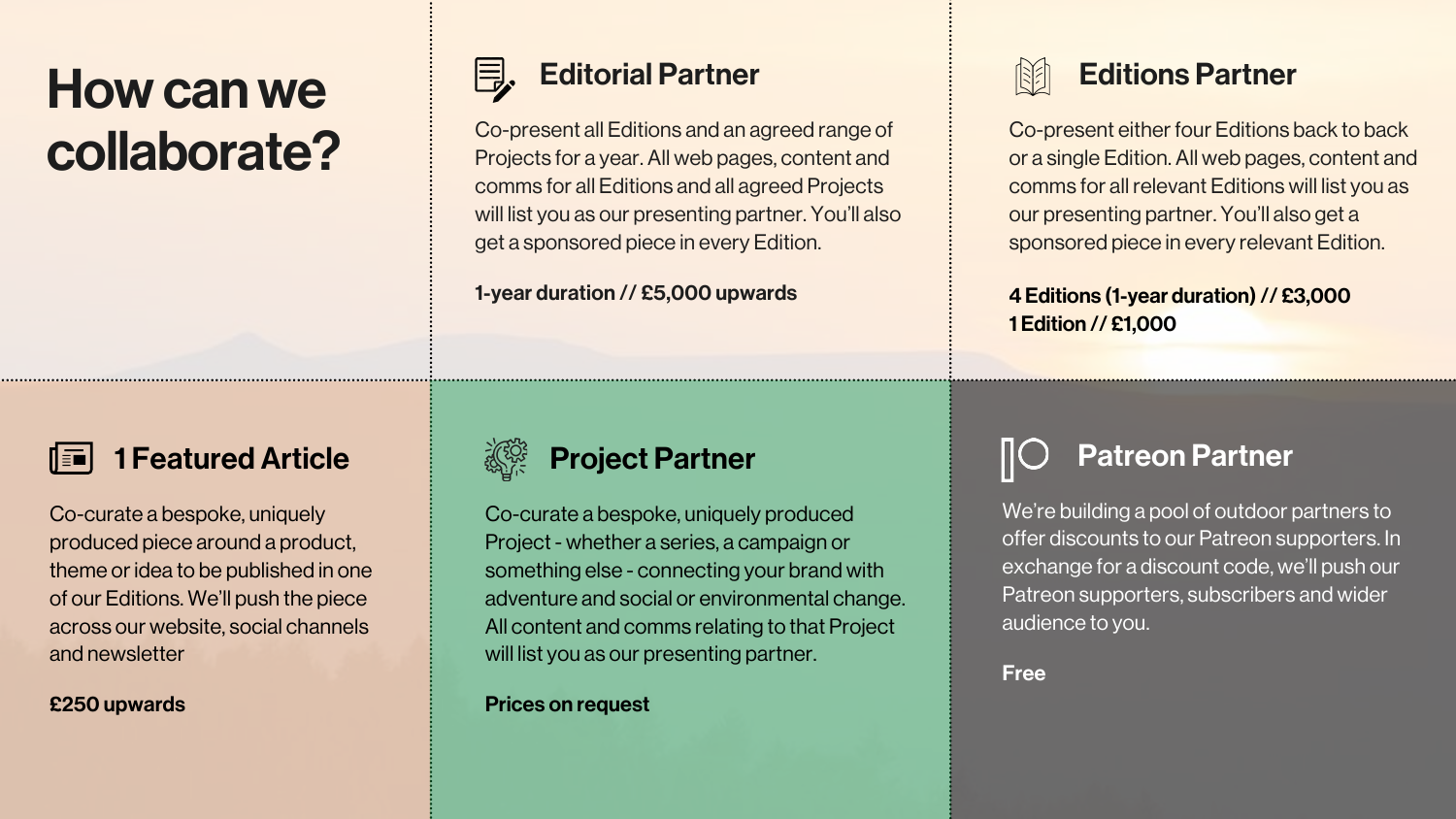## Editorial Partner

Co-present all Editions and an agreed range of Projects for a year. All web pages, content and comms for all Editions and all agreed Projects will list you as our presenting partner. You'll also get a sponsored piece in every Edition.

### 1-year duration // £5,000 upwards

## Project Partner

Co-curate a bespoke, uniquely produced Project - whether a series, a campaign or something else - connecting your brand with adventure and social or environmental change. All content and comms relating to that Project will list you as our presenting partner.

Prices on request

## Howcanwe collaborate?





Co-present either four Editions back to back or a single Edition. All web pages, content and comms for all relevant Editions will list you as our presenting partner. You'll also get a sponsored piece in every relevant Edition.

## 1 Featured Article

Co-curate a bespoke, uniquely produced piece around a product, theme or idea to be published in one of our Editions. We'll push the piece across our website, social channels and newsletter

### £250 upwards



## Patreon Partner

We're building a pool of outdoor partners to offer discounts to our Patreon supporters. In exchange for a discount code, we'll push our Patreon supporters, subscribers and wider audience to you.

Free

### 4 Editions (1-year duration) // £3,000 1 Edition // £1,000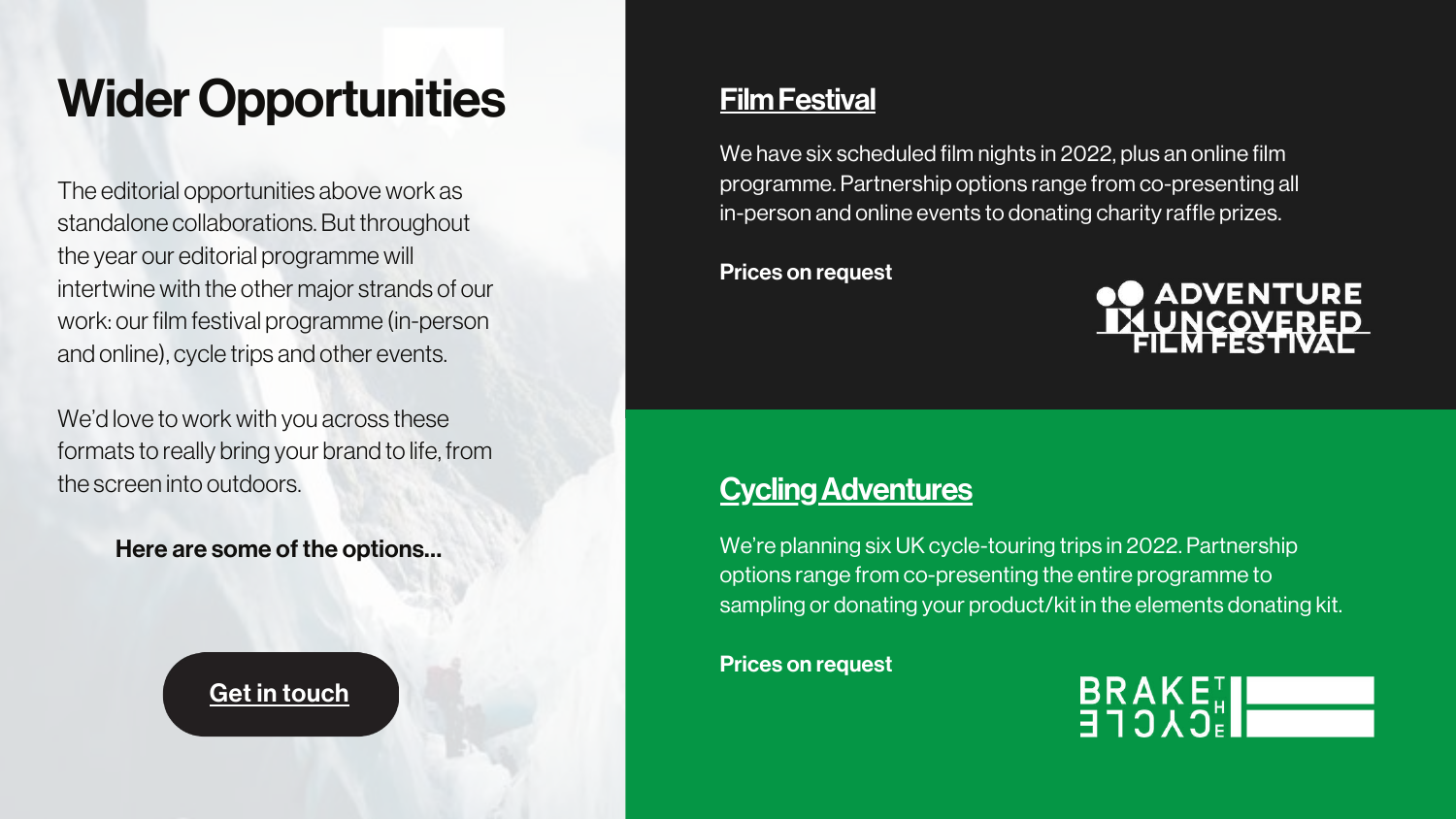We have six scheduled film nights in 2022, plus an online film programme. Partnership options range from co-presenting all in-person and online events to donating charity raffle prizes.

Prices on request

## **Cycling Adventures**

We're planning six UK cycle-touring trips in 2022. Partnership options range from co-presenting the entire programme to sampling or donating your product/kit in the elements donating kit.

We'd love to work with you across these formats to really bring your brand to life, from the screen into outdoors.

Prices on request

## ADVENTURE<br><u>LUNCOVERED</u>



## Wider Opportunities

The editorial opportunities above work as standalone collaborations. But throughout the year our editorial programme will intertwine with the other major strands of our work: our film festival programme (in-person and online), cycle trips and other events.

Here are some of the options…

Get in [touch](mailto:james@adventureuncovered.com?subject=Film%20Festival%20Opportunities)

## **Film Festival**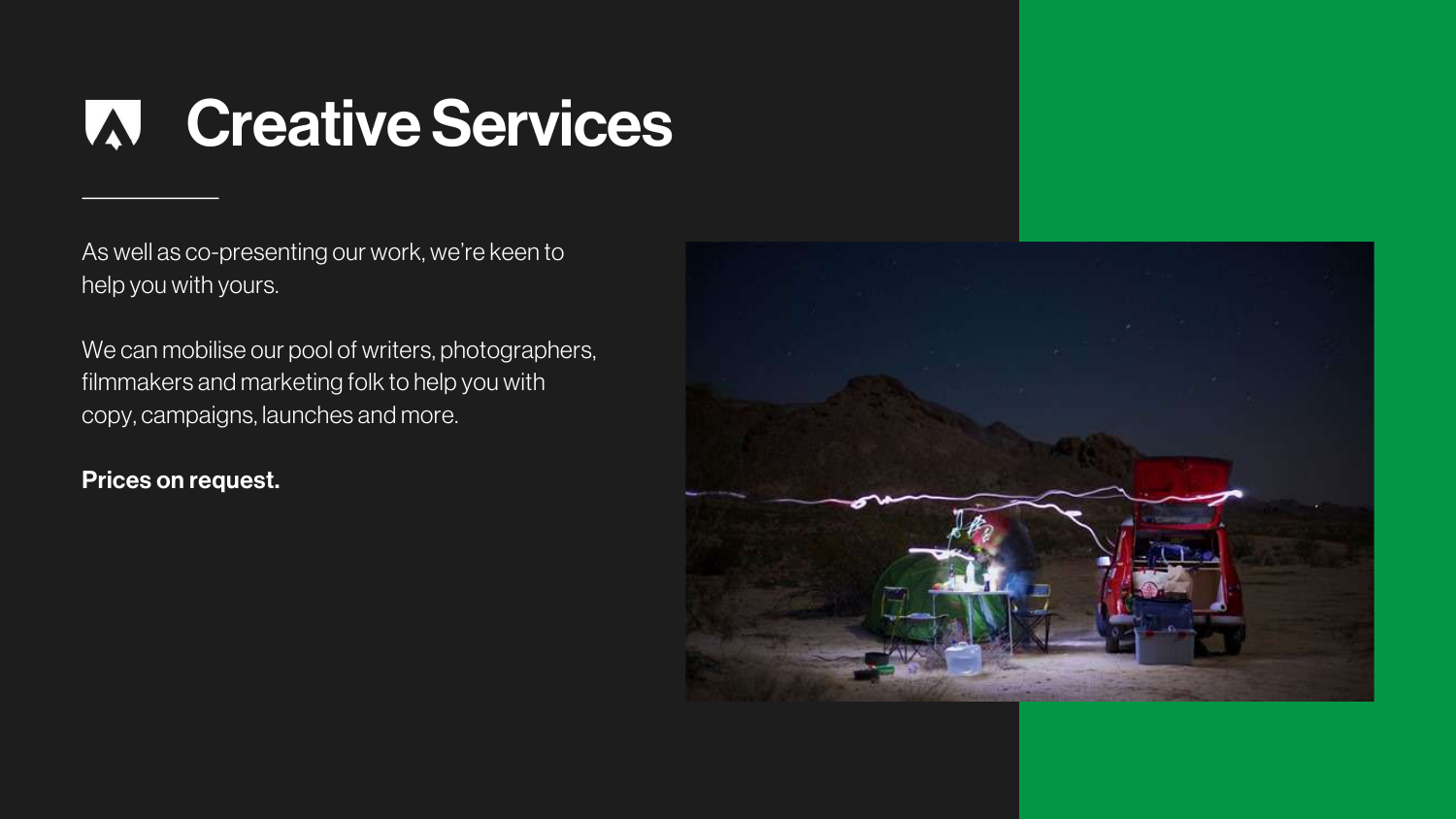## **W Creative Services**

As well as co-presenting our work, we're keen to help you with yours.

We can mobilise our pool of writers, photographers, filmmakers and marketing folk to help you with copy, campaigns, launches and more.

Prices on request.